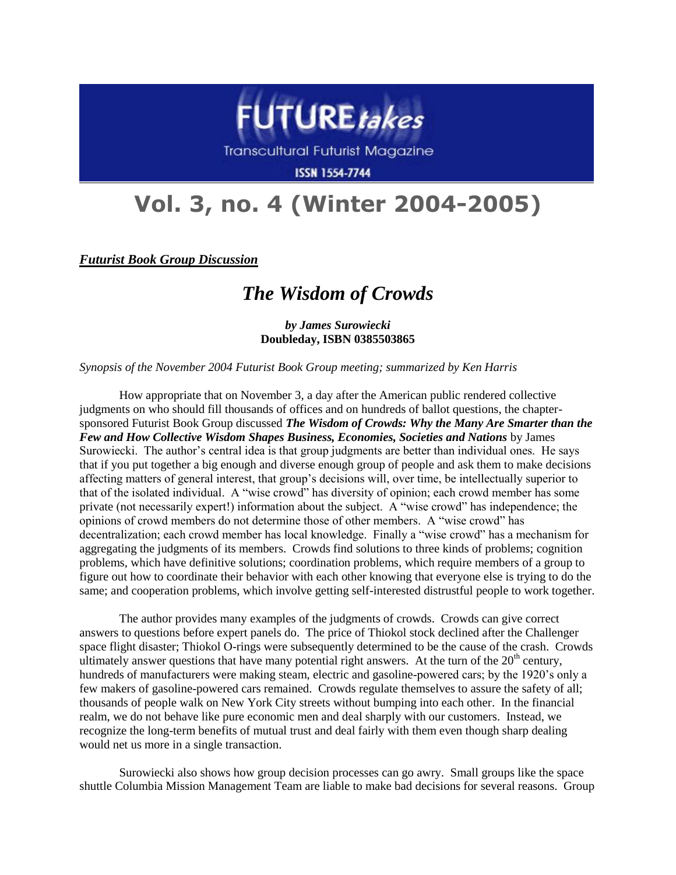

Transcultural Futurist Magazine

**ISSN 1554-7744** 

## **Vol. 3, no. 4 (Winter 2004-2005)**

*Futurist Book Group Discussion*

## *The Wisdom of Crowds*

*by James Surowiecki* **Doubleday, ISBN 0385503865**

*Synopsis of the November 2004 Futurist Book Group meeting; summarized by Ken Harris*

How appropriate that on November 3, a day after the American public rendered collective judgments on who should fill thousands of offices and on hundreds of ballot questions, the chaptersponsored Futurist Book Group discussed *The Wisdom of Crowds: Why the Many Are Smarter than the Few and How Collective Wisdom Shapes Business, Economies, Societies and Nations* by James Surowiecki. The author's central idea is that group judgments are better than individual ones. He says that if you put together a big enough and diverse enough group of people and ask them to make decisions affecting matters of general interest, that group's decisions will, over time, be intellectually superior to that of the isolated individual. A "wise crowd" has diversity of opinion; each crowd member has some private (not necessarily expert!) information about the subject. A "wise crowd" has independence; the opinions of crowd members do not determine those of other members. A "wise crowd" has decentralization; each crowd member has local knowledge. Finally a "wise crowd" has a mechanism for aggregating the judgments of its members. Crowds find solutions to three kinds of problems; cognition problems, which have definitive solutions; coordination problems, which require members of a group to figure out how to coordinate their behavior with each other knowing that everyone else is trying to do the same; and cooperation problems, which involve getting self-interested distrustful people to work together.

The author provides many examples of the judgments of crowds. Crowds can give correct answers to questions before expert panels do. The price of Thiokol stock declined after the Challenger space flight disaster; Thiokol O-rings were subsequently determined to be the cause of the crash. Crowds ultimately answer questions that have many potential right answers. At the turn of the  $20<sup>th</sup>$  century, hundreds of manufacturers were making steam, electric and gasoline-powered cars; by the 1920's only a few makers of gasoline-powered cars remained. Crowds regulate themselves to assure the safety of all; thousands of people walk on New York City streets without bumping into each other. In the financial realm, we do not behave like pure economic men and deal sharply with our customers. Instead, we recognize the long-term benefits of mutual trust and deal fairly with them even though sharp dealing would net us more in a single transaction.

Surowiecki also shows how group decision processes can go awry. Small groups like the space shuttle Columbia Mission Management Team are liable to make bad decisions for several reasons. Group